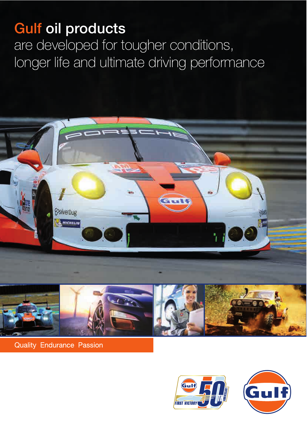# Gulf oil products Gulf oil products

are developed for tougher conditions, are developed for tougher conditions, longer life and ultimate driving performance longer life and ultimate driving performance



**Quality Endurance Passion** 



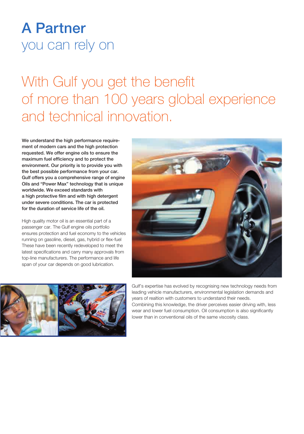# A Partner A Partner you can rely on you can rely on

# With Gulf you get the benefit With Gulf you get the benefit of more than 100 years global experience of more than 100 years global experience and technical innovation. and technical innovation.

We understand the high performance require-We understand the high performance requirement of modern cars and the high protection ment of modern cars and the high protection requested. We offer engine oils to ensure the requested. We offer engine oils to ensure the maximum fuel efficiency and to protect the maximum fuel efficiency and to protect the environment. Our priority is to provide you with environment. Our priority is to provide you with the best possible performance from your car. the best possible performance from your car. Gulf offers you a comprehensive range of engine Gulf offers you a comprehensive range of engine Oils and "Power Max" technology that is unique Oils and "Power Max" technology that is unique worldwide. We exceed standards with worldwide. We exceed standards with a high protective film and with high detergent a high protective film and with high detergent under severe conditions. The car is protected under severe conditions. The car is protected for the duration of service life of the oil. for the duration of service life of the oil.

High quality motor oil is an essential part of a High quality motor oil is an essential part of a passenger car. The Gulf engine oils portfolio passenger car. The Gulf engine oils portfolio ensures protection and fuel economy to the vehicles ensures protection and fuel economy to the vehicles running on gasoline, diesel, gas, hybrid or flex-fuel running on gasoline, diesel, gas, hybrid or flex-fuel These have been recently redeveloped to meet the These have been recently redeveloped to meet the latest specifications and carry many approvals from latest specifications and carry many approvals from top-line manufacturers. The performance and life top-line manufacturers. The performance and life span of your car depends on good lubrication. span of your car depends on good lubrication.





**Gulf's expertise has evolved by recognising new technology needs from** leading vehicle manufacturers, environmental legislation demands and leading vehicle manufacturers, environmental legislation demands and  $\mathbb{R}$  years of realtion with customers to understand their needs. **Combining this knowledge, the driver perceives easier driving with, less** wear and lower fuel consumption. Oil consumption is also significantly **Lower than in conventional oils of the same viscosity class.**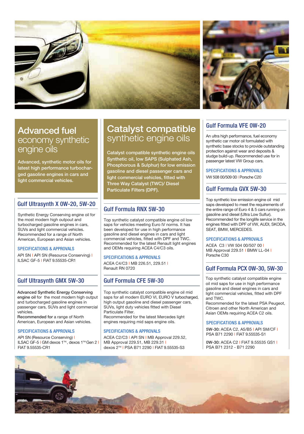



# Advanced fuel Advanced fuel Advanced fuel economy synthetic **F** s engine oils engine oils engine oils

Advanced, synthetic motor oils for **Advanced**, synthetic motor oils for latest high performance turbocharged gasoline engines in cars and ged gasoline engines in cars and ged gasoline engines in cars and light commercial vehicles. light commercial vehicles. light commercial vehicles.

# Gulf Ultrasynth X 0W-20, 5W-20 Gulf Ultrasynth X 0W-20, 5W-20 Gulf Ultrasynth X 0W-20, 5W-20

Synthetic Energy Conserving engine oil for Synthetic Energy Conserving engine oil for Synthetic Energy Conserving engine oil for the most modern high outpout and  $\vert$  in turbocharged gasoline engines in cars, turbocharged gasoline engines in cars, turbocharged gasoline engines in cars, SUVs and light commercial vehicles. SUVs and light commercial vehicles. SUVs and light commercial vehicles. Recommended for a range of North Recommended for a range of North Recommended for a range of North American, European and Asian vehicles. American, European and Asian vehicles. American, European and Asian vehicles.

#### SPECIFICATIONS & APPROVALS SPECIFICATIONS & APPROVALS SPECIFICATIONS & APPROVALS

API SN I API SN (Resource Conserving) I Reper ILSAC GF-5 I FIAT 9.55535-CR1 ILSAC GF-5 I FIAT 9.55535-CR1 ILSAC GF-5 I FIAT 9.55535-CR1

# Gulf Ultrasynth GMX 5W-30 Gulf Ultrasynth GMX 5W-30 Gulf Ultrasynth GMX 5W-30

Advanced Synthetic Energy Conserving Advanced Synthetic Energy Conserving Advanced Synthetic Energy Conserving engine oil for the most modern high output  $\mid$  saps for a and turbocharged gasoline engines in and turbocharged gasoline engines in and turbocharged gasoline engines in passenger cars, SUVs and light commercial passenger cars, SUVs and light commercial passenger cars, SUVs and light commercial vehicles. vehicles.

Recommended for a range of North Recommended for a range of North Recommended for a range of North American, European and Asian vehicles. American, European and Asian vehicles. American, European and Asian vehicles.

API SN (Resource Conserving) I API SN (Resource Conserving) I API SN (Resource Conserving) I ILSAC GF-5 I GM dexos 1™, dexos 1™Gen 2 | | MB Appro FIAT 9.55535-CR1 FIAT 9.55535-CR1 FIAT 9.55535-CR1

# Catalyst compatible synthetic engine oils

Catalyst compatible synthetic engine oils Catalyst compatible synthetic engine oils Catalyst compatible synthetic engine oils Synthetic oil, low SAPS (Sulphated Ash, Synthetic oil, low SAPS (Sulphated Ash, Phosphorous & Sulphur) for low emission Phosphorous & Sulphur) for low emission Phosphorous & Sulphur) for low emission gasoline and diesel passenger cars and **FRPE0** light commercial vehicles, fitted with **Night** Three Way Catalyst (TWC)/ Diesel Three Way Catalyst (TWC)/ Diesel Three Way Catalyst (TWC)/ Diesel Particulate Filters (DPF). Particulate Filters (DPF). Particulate Filters (DPF).

# Gulf Formula RNX 5W-30 Gulf Formula RNX 5W-30 Gulf Formula RNX 5W-30

Top synthetic catalyst compatible engine oil low Top synthetic catalyst compatible engine oil low Top synthetic catalyst compatible engine oil low saps for vehicles meeting Euro IV norms. It has | engi been developed for use in high performance been developed for use in high performance been developed for use in high performance gasoline and diesel engines in cars and light gasoline and diesel engines in cars and light gasoline and diesel engines in cars and light commercial vehicles, fitted with DPF and TWC. commercial vehicles, fitted with DPF and TWC. commercial vehicles, fitted with DPF and TWC. Recommended for the latest Renault light engines  $\parallel$   $_{\Delta$ CEA and OEMs requiring ACEA C4/C3 oils. and OEMs requiring ACEA C4/C3 oils. and OEMs requiring ACEA C4/C3 oils.

#### SPECIFICATIONS & APPROVALS SPECIFICATIONS & APPROVALS SPECIFICATIONS & APPROVALS

ACEA C4/C3 I MB 226.51, 229.51 I ACEA C4/C3 I MB 226.51, 229.51 I ACEA C4/C3 I MB 226.51, 229.51 I Renault RN 0720 Renault RN 0720 Renault RN 0720

# Gulf Formula CFE 5W-30 Gulf Formula CFE 5W-30 Gulf Formula CFE 5W-30

Top synthetic catalyst compatible engine oil mid  $\Box$  light of saps for all modern EURO VI, EURO V turbocharged,  $\parallel$  and TW( high output gasoline and diesel passenger cars,  $\overline{\phantom{a}}$  Reco SUVs, light duty vehicles fitted with Diesel SUVs, light duty vehicles fitted with Diesel SUVs, light duty vehicles fitted with Diesel Particulate Filter. Particulate Filter. Particulate Filter. Recommended for the latest Mercedes light Recommended for the latest Mercedes light Recommended for the latest Mercedes light engines requiring mid saps engine oils. engines requiring mid saps engine oils. engines requiring mid saps engine oils.

#### SPECIFICATIONS & APPROVALS SPECIFICATIONS & APPROVALS

ACEA C2/C3 I API SN I MB Approval 229.52, ACEA C2/C3 I API SN I MB Approval 229.52, ACEA C2/C3 I API SN I MB Approval 229.52, MB Approval 229.51, MB 229.31 I MB Approval 229.51, MB 229.31 I MB Approval 229.51, MB 229.31 I dexos 2TM I PSA B71 2290 I FIAT 9.55535-S3 dexos 2TM I PSA B71 2290 I FIAT 9.55535-S3 dexos 2TM I PSA B71 2290 I FIAT 9.55535-S3

# Gulf Formula VFE 0W-20 Gulf Formula VFE 0W-20 Gulf Formula VFE 0W-20

An ultra high performance, fuel economy An ultra high performance, fuel economy An ultra high performance, fuel economy synthetic car motor oil formulated with  $\vert$ synthetic base stocks to provide outstanding | protection against wear and deposits & protection against wear and deposits & protection against wear and deposits & sludge build-up. Recommended use for in sludge build-up. Recommended use for in sludge build-up. Recommended use for in passenger latest VW Group cars. passenger latest VW Group cars. passenger latest VW Group cars.

SPECIFICATIONS & APPROVALS SPECIFICATIONS & APPROVALS SPECIFICATIONS & APPROVALS

VW 508 00/509 00 I Porsche C20 VW 508 00/509 00 I Porsche C20 VW 508 00/509 00 I Porsche C20

# Gulf Formula GVX 5W-30 Gulf Formula GVX 5W-30 Gulf Formula GVX 5W-30

Top synthetic low emission engine oil mid Top synthetic low emission engine oil mid Top synthetic low emission engine oil mid saps developed to meet the requirements of the entire range of Euro 4 & 5 cars running on | gasoline and diesel (Ultra Low Sulfur). gasoline and diesel (Ultra Low Sulfur). gasoline and diesel (Ultra Low Sulfur). Recommended for the longlife service in the Recommended for the longlife service in the Recommended for the longlife service in the engines fitted with DPF of VW, AUDI, SKODA, | SEAT, BMW, MERCEDES. SEAT, BMW, MERCEDES. SEAT, BMW, MERCEDES.

#### SPECIFICATIONS & APPROVALS SPECIFICATIONS & APPROVALS SPECIFICATIONS & APPROVALS

ACEA C3 I VW 504 00/507 00 I ACEA C3 I VW 504 00/507 00 I ACEA C3 I VW 504 00/507 00 I MB Approval 229.51 I BMW LL-04 I MB Approval 229.51 I BMW LL-04 I MB Approval 229.51 I BMW LL-04 I Porsche C30 Porsche C30 Porsche C30

# Gulf Formula PCX 0W-30, 5W-30 Gulf Formula PCX 0W-30, 5W-30 Gulf Formula PCX 0W-30, 5W-30

Top synthetic catalyst compatible engine Top synthetic catalyst compatible engine Top synthetic catalyst compatible engine oil mid saps for use in high performance  $\qquad$ gasoline and diesel engines in cars and gasoline and diesel engines in cars and gasoline and diesel engines in cars and light commercial vehicles, fitted with DPF light commercial vehicles, fitted with DPF light commercial vehicles, fitted with DPF and TWC. and TWC.

Recommended for the latest PSA Peugeot, Recommended for the latest PSA Peugeot, Recommended for the latest PSA Peugeot, Citroen and other North American and Citroen and other North American and Citroen and other North American and Asian OEMs requiring ACEA C2 oils. Asian OEMs requiring ACEA C2 oils. Asian OEMs requiring ACEA C2 oils.

#### SPECIFICATIONS & APPROVALS SPECIFICATIONS & APPROVALS SPECIFICATIONS & APPROVALS

5W-30: ACEA C2, A5/B5 I API SM/CF I 5W-30: ACEA C2, A5/B5 I API SM/CF I 5W-30: ACEA C2, A5/B5 I API SM/CF I PSA B71 2290 I FIAT 9.55535-S1 PSA B71 2290 I FIAT 9.55535-S1 PSA B71 2290 I FIAT 9.55535-S1

0W-30: ACEA C2 I FIAT 9.55535 GS1 I 0W-30: ACEA C2 I FIAT 9.55535 GS1 I 0W-30: ACEA C2 I FIAT 9.55535 GS1 I PSA B71 2312 - B71 2290 PSA B71 2312 - B71 2290 PSA B71 2312 - B71 2290

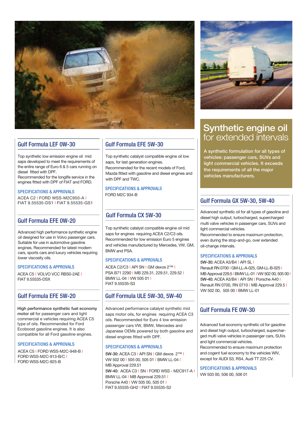

## Gulf Formula LEF 0W-30 Gulf Formula LEF 0W-30 Gulf Formula LEF 0W-30

Top synthetic low emission engine oil mid Top synthetic low emission engine oil mid Top synthetic low emission engine oil mid saps developed to meet the requirements of the entire range of Euro 6 & 5 cars running on  $\parallel$  p diesel fitted with DPF. diesel fitted with DPF. diesel fitted with DPF.

Recommended for the longlife service in the Recommended for the longlife service in the Recommended for the longlife service in the engines fitted with DPF of FIAT and FORD.

#### SPECIFICATIONS & APPROVALS SPECIFICATIONS & APPROVALS SPECIFICATIONS & APPROVALS

ACEA C2 I FORD WSS-M2C950-A I ACEA C2 I FORD WSS-M2C950-A I ACEA C2 I FORD WSS-M2C950-A I FIAT 9.55535-DS1 I FIAT 9.55535-GS1 FIAT 9.55535-DS1 I FIAT 9.55535-GS1 FIAT 9.55535-DS1 I FIAT 9.55535-GS1

## Gulf Formula EFE 0W-20 Gulf Formula EFE 0W-20 Gulf Formula EFE 0W-20

Advanced high performance synthetic engine Advanced high performance synthetic engine Advanced high performance synthetic engine oil designed for use in Volvo passenger cars. Suitable for use in automotive gasoline Suitable for use in automotive gasoline Suitable for use in automotive gasoline engines. Recommended for latest modern cars, sports cars and luxury vehicles requiring  $\Box$ lower viscosity oils. lower viscosity oils. lower viscosity oils.

#### SPECIFICATIONS & APPROVALS SPECIFICATIONS & APPROVALS SPECIFICATIONS & APPROVALS

ACEA C5 I VOLVO VCC RBS0-2AE I ACEA C5 I VOLVO VCC RBS0-2AE I ACEA C5 I VOLVO VCC RBS0-2AE I FIAT 9.55535-DSX FIAT 9.55535-DSX FIAT 9.55535-DSX

### Gulf Formula EFE 5W-20 Gulf Formula EFE 5W-20 Gulf Formula EFE 5W-20

High performance synthetic fuel economy High performance synthetic fuel economy High performance synthetic fuel economy motor oil for passenger cars and light motor oil for passenger cars and light motor oil for passenger cars and light commercial e vehicles requiring ACEA C5 type of oils. Recommended for Ford type of oils. Recommended for Ford type of oils. Recommended for Ford Ecoboost gasoline engines. It is also Ecoboost gasoline engines. It is also Ecoboost gasoline engines. It is also compatible for all Ford gasoline engines. compatible for all Ford gasoline engines. compatible for all Ford gasoline engines.

#### SPECIFICATIONS & APPROVALS SPECIFICATIONS & APPROVALS SPECIFICATIONS & APPROVALS

ACEA C5 I FORD WSS-M2C-948-B I ACEA C5 I FORD WSS-M2C-948-B I ACEA C5 I FORD WSS-M2C-948-B I FORD WSS-M2C-913-B/C I FORD WSS-M2C-913-B/C I FORD WSS-M2C-913-B/C I FORD WSS-M2C-925-B FORD WSS-M2C-925-B FORD WSS-M2C-925-B

# Gulf Formula EFE 5W-30 Gulf Formula EFE 5W-30 Gulf Formula EFE 5W-30

Top synthetic catalyst compatible engine oil low Top synthetic catalyst compatible engine oil low Top synthetic catalyst compatible engine oil low saps, for last generation engines. saps, for last generation engines. saps, for last generation engines. Recommended for the recent models of Ford, Recommended for the recent models of Ford, Recommended for the recent models of Ford, Mazda fitted with gasoline and diesel engines and Mazda fitted with gasoline and diesel engines and Mazda fitted with gasoline and diesel engines and  $\mathbb{P}$  with DPF and TWC.

FORD M2C 934-B FORD M2C 934-B FORD M2C 934-B SPECIFICATIONS & APPROVALS SPECIFICATIONS & APPROVALS SPECIFICATIONS & APPROVALS

### $-\,$   $\mid$  Gulf Formula CX 5W-30

Top synthetic catalyst compatible engine oil mid Top synthetic catalyst compatible engine oil mid Top synthetic catalyst compatible engine oil mid <sup>Ine</sup> Saps for engines requiring ACEA C2/C3 oils. <sup>5.</sup> | Recommended for low emission Euro 5 engines | and vehicles manufactured by Mercedes, VW, GM,  $\parallel$  oil  $\mathcal{B}_{\text{in}a}$  BMW and PSA.

#### SPECIFICATIONS & APPROVALS SPECIFICATIONS & APPROVALS SPECIFICATIONS & APPROVALS

ACEA C2/C3 I API SN I GM dexos 2™ I ACEA C2/C3 I API SN I GM dexos 2™ I ACEA C2/C3 I API SN I GM dexos 2™ I PSA B71 2290 I MB 229.31, 229.51, 229.52 I PSA B71 2290 I MB 229.31, 229.51, 229.52 I PSA B71 2290 I MB 229.31, 229.51, 229.52 I BMW LL-04 I VW 505 01 I BMW LL-04 I VW 505 01 I BMW LL-04 I VW 505 01 FIAT 9.55535-S3 FIAT 9.55535-S3 FIAT 9.55535-S3

### Gulf Formula ULE 5W-30, 5W-40 Gulf Formula ULE 5W-30, 5W-40 Gulf Formula ULE 5W-30, 5W-40

Advanced performance catalyst synthetic mid Advanced performance catalyst synthetic mid Advanced performance catalyst synthetic mid saps motor oils, for engines requiring ACEA C3  $\parallel$  -<sup>5</sup> | oils. Recommended for Euro 4 low emission passenger cars VW, BMW, Mercedes and passenger cars VW, BMW, Mercedes and passenger cars VW, BMW, Mercedes and Japanese OEMs powered by both gasoline and Japanese OEMs powered by both gasoline and Japanese OEMs powered by both gasoline and diesel engines fitted with DPF. diesel engines fitted with DPF. diesel engines fitted with DPF.

#### SPECIFICATIONS & APPROVALS SPECIFICATIONS & APPROVALS SPECIFICATIONS & APPROVALS

5W-30: ACEA C3 I API SN I GM dexos 2™ I 5W-30: ACEA C3 I API SN I GM dexos 2™ I 5W-30: ACEA C3 I API SN I GM dexos 2™ I VW 502 00 I 505 00, 505 01 I BMW LL-04 I VW 502 00 I 505 00, 505 01 I BMW LL-04 I VW 502 00 I 505 00, 505 01 I BMW LL-04 I MB Approval 229.51 MB Approval 229.51 MB Approval 229.51 | 5W-40: ACEA C3 | SN | FORD WSS - M2C917-A I |  $\frac{9!}{1!}$ BMW LL-04 | MB Approval 229.51 | Porsche A40 I VW 505 00, 505 01 I Porsche A40 I VW 505 00, 505 01 I Porsche A40 I VW 505 00, 505 01 I FIAT 9.55535-GH2 I FIAT 9.55535-S2 FIAT 9.55535-GH2 I FIAT 9.55535-S2 FIAT 9.55535-GH2 I FIAT 9.55535-S2



# Synthetic engine oil Synthetic engine oil Synthetic engine oil  $\overline{\phantom{a}}$  for extended intervals

A synthetic formulation for all types of A synthetic formulation for all types of A synthetic formulation for all types of vehicles: passenger cars, SUVs and vehicles: passenger cars, SUVs and vehicles: passenger cars, SUVs and **light commercial vehicles. It exceeds**  $\mathbf{t}$  the requirements of all the major **v** vehicles manufacturers.

## Gulf Formula GX 5W-30, 5W-40 Gulf Formula GX 5W-30, 5W-40 Gulf Formula GX 5W-30, 5W-40

Advanced synthetic oil for all types of gasoline and Advanced synthetic oil for all types of gasoline and Advanced synthetic oil for all types of gasoline and diesel high output, turbocharged, supercharged diesel high output, turbocharged, supercharged diesel high output, turbocharged, supercharged multi valve vehicles in passenger cars, SUVs and multi valve vehicles in passenger cars, SUVs and multi valve vehicles in passenger cars, SUVs and d | light commercial vehicles.

Recommended to ensure maximum protection, Recommended to ensure maximum protection, Recommended to ensure maximum protection, s even during the stop-and-go, over extended oil-change intervals. oil-change intervals. oil-change intervals.

#### SPECIFICATIONS & APPROVALS SPECIFICATIONS & APPROVALS SPECIFICATIONS & APPROVALS

5W-30: ACEA A3/B4 I API SL I 5W-30: ACEA A3/B4 I API SL I 5W-30: ACEA A3/B4 I API SL I Renault RN 0700 I GM-LL-A-025, GM-LL-B-025 I Renault RN 0700 I GM-LL-A-025, GM-LL-B-025 I Renault RN 0700 I GM-LL-A-025, GM-LL-B-025 I | MB Approval 229.5 | BMW LL-01 | VW 502 00, 505 00 | | 5W-40: ACEA A3/B4 I API SN I Porsche A40 I 5W-40: ACEA A3/B4 I API SN I Porsche A40 I 5W-40: ACEA A3/B4 I API SN I Porsche A40 I Renault RN 0700, RN 0710 I MB Approval 229.5 I Renault RN 0700, RN 0710 I MB Approval 229.5 I Renault RN 0700, RN 0710 I MB Approval 229.5 I VW 502 00, 505 00 I BMW LL-01 VW 502 00, 505 00 I BMW LL-01 VW 502 00, 505 00 I BMW LL-01

## $\frac{d}{d}$  Gulf Formula FE 0W-30

Advanced fuel economy synthetic oil for gasoline Advanced fuel economy synthetic oil for gasoline Advanced fuel economy synthetic oil for gasoline  $_{\text{and}}$  and diesel high output, turbocharged, supercharged multi valve vehicles in passenger cars, SUVs ged multi valve vehicles in passenger cars, SUVs ged multi valve vehicles in passenger cars, SUVs and light commercial vehicles. and light commercial vehicles. and light commercial vehicles. Recommended to ensure maximum protection Recommended to ensure maximum protection Recommended to ensure maximum protection

and cogent fuel economy to the vehicles WIV, and cogent fuel economy to the vehicles WIV, and cogent fuel economy to the vehicles WIV, except for AUDI S3, RS4, Audi TT 225 CV. except for AUDI S3, RS4, Audi TT 225 CV. except for AUDI S3, RS4, Audi TT 225 CV.

 $\frac{1111}{100}$  VW 503 00, 506 00, 506 01  $\overline{S}_{\text{A}}$ , SPECIFICATIONS & APPROVALS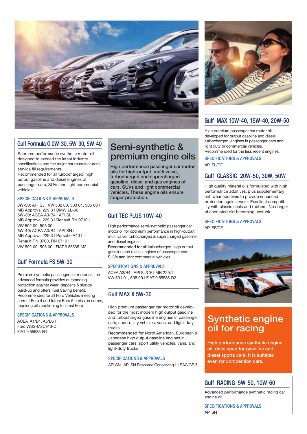

# Gulf Formula G 0W-30, 5W-30, 5W-40 Gulf Formula G 0W-30, 5W-30, 5W-40 Gulf Formula G 0W-30, 5W-30, 5W-40

Supreme performance synthetic motor oil Supreme performance synthetic motor oil Supreme performance synthetic motor oil designed to exceed the latest industry designed to exceed the latest industry designed to exceed the latest industry specifications and the major car manufacturers' specifications and the major car manufacturers' specifications and the major car manufacturers' service fill requirements. Recommended for all turbocharged, high Recommended for all turbocharged, high Recommended for all turbocharged, high output gasoline and diesel engines of output gasoline and diesel engines of output gasoline and diesel engines of passenger cars, SUVs and light commercial passenger cars, SUVs and light commercial passenger cars, SUVs and light commercial vehicles. vehicles.

#### SPECIFICATIONS & APPROVALS SPECIFICATIONS & APPROVALS SPECIFICATIONS & APPROVALS

0W-30: API SJ I VW 502 00, 503 01, 505 00 I 0W-30: API SJ I VW 502 00, 503 01, 505 00 I 0W-30: API SJ I VW 502 00,503 01, 505 00 I MB Approval 229.3 I BMW LL-98 5W-30: ACEA A3/B4 I API SL I 5W-30: ACEA A3/B4 I API SL I 5W-30: ACEA A3/B4 I API SL I MB Approval 229.3 I Renault RN 0710 I MB Approval 229.3 I Renault RN 0710 I MB Approval 229.3 I Renault RN 0710 I VW 502 00, 505 00 VW 502 00, 505 00 VW 502 00, 505 00 5W-40: ACEA A3/B4 I API SN I 5W-40: ACEA A3/B4 I API SN I 5W-40: ACEA A3/B4 I API SN I MB Approval 229.3 I Porsche A40 I MB Approval 229.3 I Porsche A40 I MB Approval 229.3 I Porsche A40 I Renault RN 0700, RN 0710 I Renault RN 0700, RN 0710 I Renault RN 0700, RN 0710 I VW 502 00, 505 00 I FIAT 9.55535-M2 VW 502 00, 505 00 I FIAT 9.55535-M2 VW 502 00, 505 00 I FIAT 9.55535-M2

# Gulf Formula FS 5W-30 Gulf Formula FS 5W-30 Gulf Formula FS 5W-30

Premium synthetic passenger car motor oil, the Premium synthetic passenger car motor oil, the Premium synthetic passenger car motor oil, the advanced formula provides outstanding advanced formula provides outstanding advanced formula provides outstanding protection against wear, deposits & sludge protection against wear, deposits & sludge protection against wear, deposits & sludge build-up and offers Fuel Saving benefit. build-up and offers Fuel Saving benefit. build-up and offers Fuel Saving benefit. Recommended for all Ford Vehicles meeting Recommended for all Ford Vehicles meeting Recommended for all Ford Vehicles meeting current Euro 4 and future Euro 5 emission norms, current Euro 4 and future Euro 5 emission norms, current Euro 4 and future Euro 5 emission norms, requiring oils confirming to latest Ford. requiring oils confirming to latest Ford. requiring oils confirming to latest Ford.

#### SPECIFICATIONS & APPROVALS SPECIFICATIONS & APPROVALS SPECIFICATIONS & APPROVALS

ACEA A1/B1, A5/B5 I ACEA A1/B1, A5/B5 I ACEA A1/B1, A5/B5 I Ford WSS-M2C913-D I Ford WSS-M2C913-D I Ford WSS-M2C913-D I FIAT 9.55535-N1 FIAT 9.55535-N1 FIAT 9.55535-N1

# $\frac{300-40}{8}$  Semi-synthetic & premium engine oils premium engine oils premium engine oils

High performance passenger car motor High performance passenger car motor High performance passenger car motor API SL/CF oils for high-output, multi valve, turbocharged and supercharged turbocharged and supercharged turbocharged and supercharged gasoline, diesel and gas engines of gasoline, diesel and gas engines of gasoline, diesel and gas engines of cars, SUVs and light commercial cars, SUVs and light commercial cars, SUVs and light commercial vehicles. These engine oils ensure vehicles. These engine oils ensure vehicles. These engine oils ensure longer protection. longer protection. longer protection.

# Gulf TEC PLUS 10W-40 Gulf TEC PLUS 10W-40 Gulf TEC PLUS 10W-40

High performance semi-synthetic passenger car High performance semi-synthetic passenger car High performance semi-synthetic passenger car API SF/CF motor oil for optimum performance in high-output, motor oil for optimum performance in high-output, motor oil for optimum performance in high-output, multi valve, turbocharged & supercharged gasoline multi valve, turbocharged & supercharged gasoline multi valve, turbocharged & supercharged gasoline and diesel engines. and diesel engines. and diesel engines.

Recommended for all turbocharged, high output Recommended for all turbocharged, high output Recommended for all turbocharged, high output gasoline and diesel engines of passenger cars, gasoline and diesel engines of passenger cars, gasoline and diesel engines of passenger cars, SUVs and light commercial vehicles. SUVs and light commercial vehicles. SUVs and light commercial vehicles.

#### SPECIFICATIONS & APPROVALS SPECIFICATIONS & APPROVALS SPECIFICATIONS & APPROVALS

 $\sim$   $\sim$   $\sim$   $\sim$   $\sim$  ACEA A3/B4 I API SL/CF I MB 229.1 I VW 501 01, 505 00 I FIAT 9.55535-D2 VW 501 01, 505 00 I FIAT 9.55535-D2 VW 501 01, 505 00 I FIAT 9.55535-D2

# $_{\rm{eeting}}$  Gulf MAX X 5W-30

High premium passenger car motor oil develo-High premium passenger car motor oil develo-High premium passenger car motor oil developed for the most modern high output gasoline ped for the most modern high output gasoline ped for the most modern high output gasoline and turbocharged gasoline engines in passenger and turbocharged gasoline engines in passenger and turbocharged gasoline engines in passenger cars, sport utility vehicles, vans, and light-duty cars, sport utility vehicles, vans, and light-duty cars, sport utility vehicles, vans, and light-duty | trucks.

Recommended for North American, European & Recommended for North American, European & Recommended for North American, European & Japanese high output gasoline engines in Japanese high output gasoline engines in Japanese high output gasoline engines in passenger cars, sport utility vehicles, vans, and passenger cars, sport utility vehicles, vans, and passenger cars, sport utility vehicles, vans, and light-duty trucks. light-duty trucks. light-duty trucks.

#### SPECIFICATIONS & APPROVALS SPECIFICATIONS & APPROVALS SPECIFICATIONS & APPROVALS

API SN I API SN Resource Conserving I ILSAC GF-5



# Gulf MAX 10W-40, 15W-40, 20W-50 Gulf MAX 10W-40, 15W-40, 20W-50 Gulf MAX 10W-40, 15W-40, 20W-50

High premium passenger car motor oil High premium passenger car motor oil High premium passenger car motor oil developed for output gasoline and diesel developed for output gasoline and diesel developed for output gasoline and diesel turbocharged engines in passenger cars and turbocharged engines in passenger cars and turbocharged engines in passenger cars and **light duty or commercial vehicles.** 

**Recommended for the less recent engines.** 

#### **API SL/CF** SPECIFICATIONS & APPROVALS SPECIFICATIONS & APPROVALS SPECIFICATIONS & APPROVALS

# Gulf CLASSIC 20W-50, 30W, 50W Gulf CLASSIC 20W-50, 30W, 50W Gulf CLASSIC 20W-50, 30W, 50W

High quality mineral oils formulated with high High quality mineral oils formulated with high High quality mineral oils formulated with high performance additives, plus supplementary performance additives, plus supplementary performance additives, plus supplementary anti wear additives to provide enhanced anti wear additives to provide enhanced anti wear additives to provide enhanced protection against wear. Excellent compatibi-protection against wear. Excellent compatibi-protection against wear. Excellent compatibility with classic seals and rubbers. No danger lity with classic seals and rubbers. No danger lity with classic seals and rubbers. No danger **becoming unstuck.**  $\blacksquare$  of encrusted dirt becoming unstuck.

#### API SF/CF API SF/CF SPECIFICATIONS & APPROVALS SPECIFICATIONS & APPROVALS SPECIFICATIONS & APPROVALS



# Synthetic engine Synthetic engine Synthetic engine  $\int_{\cos\theta}$  oil for racing

s, and **High performance synthetic engine** oil, developed for gasoline and diesel sports cars. It is suitable diesel sports cars. It is suitable diesel sports cars. It is suitable even for competition cars.

# Gulf RACING 5W-50, 10W-60 Gulf RACING 5W-50, 10W-60 Gulf RACING 5W-50, 10W-60

Advanced performance synthetic racing car Advanced performance synthetic racing car Advanced performance synthetic racing car engine oil.

API SN API SN SPECIFICATIONS & APPROVALS SPECIFICATIONS & APPROVALS SPECIFICATIONS & APPROVALS

engine oil.